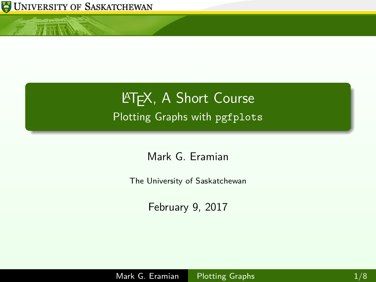

<span id="page-0-0"></span>小豆属

## **LATEX, A Short Course** Plotting Graphs with pgfplots

Mark G. Eramian

The University of Saskatchewan

February 9, 2017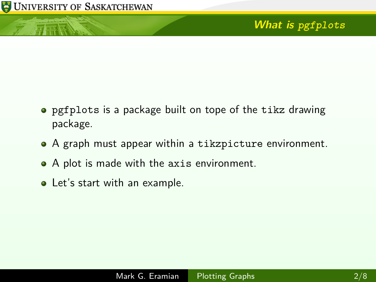小庄区

- pgfplots is a package built on tope of the tikz drawing package.
- A graph must appear within a tikzpicture environment.
- A plot is made with the axis environment.
- Let's start with an example.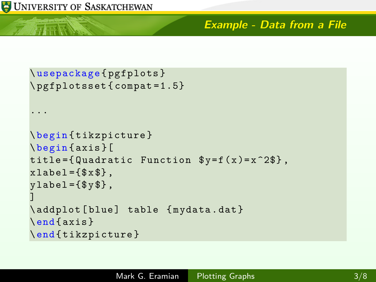## **Example - Data from a File**

```
\ usepackage { pgfplots }
\ pgfplotsset { compat =1.5}
...
\ begin { tikzpicture }
\ begin { axis }[
title={Quadratic Function y = f(x) = x^2 + 2$},
xlabel={$x$}\,
y \,label = {\frac{6}{9}y \,$},
]
\addplot [blue] table {mydata.dat}
\end{ axis }
\end{ tikzpicture }
```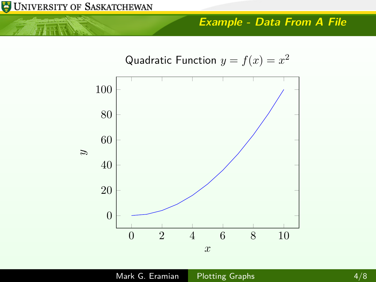小耳唇

## **Example - Data From A File**

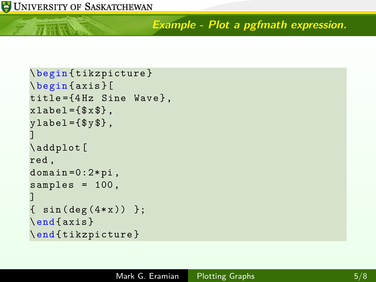仁正辰

**Example - Plot a pgfmath expression.**

```
\ begin { tikzpicture }
\ begin { axis }[
title = {4 Hz} Sine Wave},
xlabel={$x$}\,
ylabel={$y$}\,
]
\ addplot [
red ,
domain = 0:2 * pi,
samples = 100,
]
  \sin(\deg(4*x)) };
\end{ axis }
\end{ tikzpicture }
```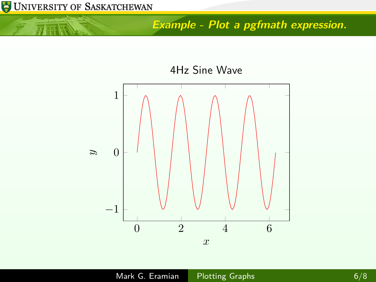

小豆属

**Example - Plot a pgfmath expression.**

4Hz Sine Wave

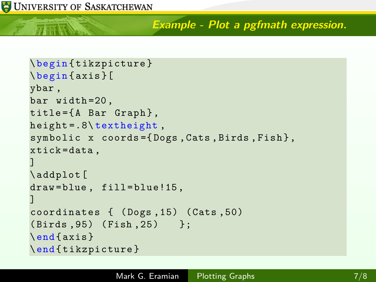**Example - Plot a pgfmath expression.**

```
\ begin { tikzpicture }
\ begin { axis }[
ybar ,
bar width =20 ,
title = {A Bar Graph},
height = .8\text{t}symbolic x coords={Dogs, Cats, Birds, Fish},
xtick = data ,
]
\ addplot [
draw=blue, fill=blue!15,
]
coordinates { ( Dogs ,15) ( Cats ,50)
( Birds ,95) ( Fish ,25) };
\end{ axis }
\end{ tikzpicture }
```